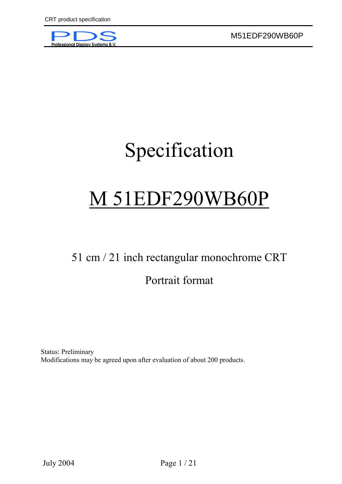

# Specification

# M 51EDF290WB60P

# 51 cm / 21 inch rectangular monochrome CRT

# Portrait format

Status: Preliminary Modifications may be agreed upon after evaluation of about 200 products.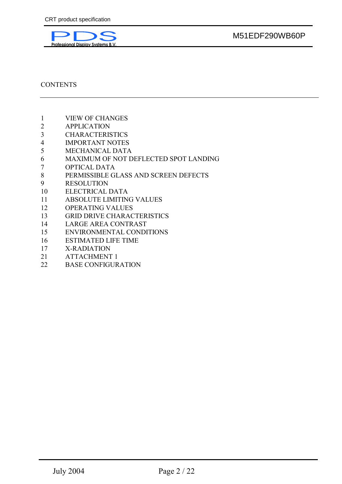

# **CONTENTS**

- 1 VIEW OF CHANGES
- 2 APPLICATION
- 3 CHARACTERISTICS
- 4 IMPORTANT NOTES
- 5 MECHANICAL DATA
- 6 MAXIMUM OF NOT DEFLECTED SPOT LANDING
- 7 OPTICAL DATA
- 8 PERMISSIBLE GLASS AND SCREEN DEFECTS
- 9 RESOLUTION
- 10 ELECTRICAL DATA
- 11 ABSOLUTE LIMITING VALUES
- 12 OPERATING VALUES
- 13 GRID DRIVE CHARACTERISTICS
- 14 LARGE AREA CONTRAST
- 15 ENVIRONMENTAL CONDITIONS
- 16 ESTIMATED LIFE TIME
- 17 X-RADIATION
- 21 ATTACHMENT 1
- 22 BASE CONFIGURATION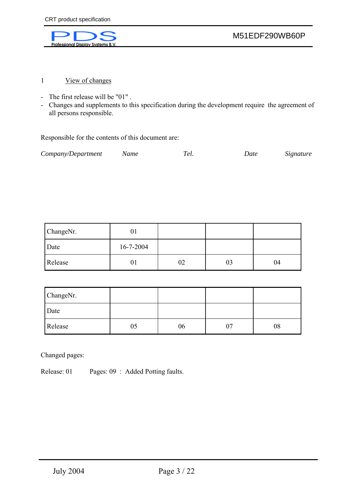

- 1 View of changes
- The first release will be "01" .
- Changes and supplements to this specification during the development require the agreement of all persons responsible.

Responsible for the contents of this document are:

| Company/Department | Name | el. | Date | Signature |
|--------------------|------|-----|------|-----------|
|--------------------|------|-----|------|-----------|

| ChangeNr. | υı        |    |    |    |
|-----------|-----------|----|----|----|
| Date      | 16-7-2004 |    |    |    |
| Release   | UΙ        | 02 | 03 | 04 |

| ChangeNr. |    |    |    |
|-----------|----|----|----|
| Date      |    |    |    |
| Release   | 05 | 06 | 08 |

Changed pages:

Release: 01 Pages: 09 : Added Potting faults.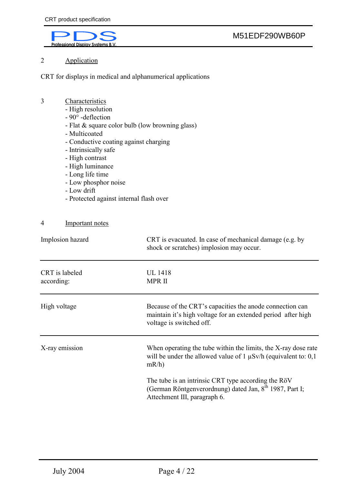

# 2 Application

CRT for displays in medical and alphanumerical applications

### 3 Characteristics

- High resolution
- 90° -deflection
- Flat & square color bulb (low browning glass)
- Multicoated
- Conductive coating against charging
- Intrinsically safe
- High contrast
- High luminance
- Long life time
- Low phosphor noise
- Low drift
- Protected against internal flash over

#### 4 Important notes

| Implosion hazard             | CRT is evacuated. In case of mechanical damage (e.g. by<br>shock or scratches) implosion may occur.                                                        |
|------------------------------|------------------------------------------------------------------------------------------------------------------------------------------------------------|
| CRT is labeled<br>according: | <b>UL</b> 1418<br><b>MPRII</b>                                                                                                                             |
| High voltage                 | Because of the CRT's capacities the anode connection can<br>maintain it's high voltage for an extended period after high<br>voltage is switched off.       |
| X-ray emission               | When operating the tube within the limits, the X-ray dose rate<br>will be under the allowed value of 1 $\mu$ Sv/h (equivalent to: 0,1)<br>$mR/h$ )         |
|                              | The tube is an intrinsic CRT type according the RöV<br>(German Röntgenverordnung) dated Jan, 8 <sup>th</sup> 1987, Part I;<br>Attechment III, paragraph 6. |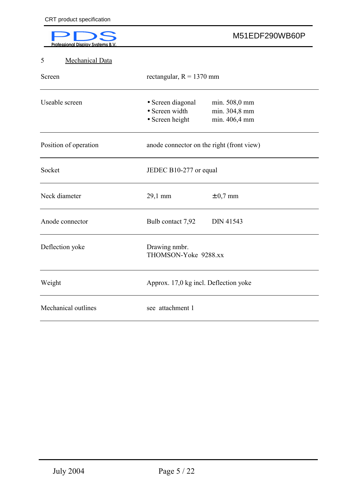| Professional Display Systems B. |                                                                | M51EDF290WB60P                                  |
|---------------------------------|----------------------------------------------------------------|-------------------------------------------------|
| Mechanical Data<br>5            |                                                                |                                                 |
| Screen                          | rectangular, $R = 1370$ mm                                     |                                                 |
| Useable screen                  | • Screen diagonal<br>• Screen width<br>$\bullet$ Screen height | min. 508,0 mm<br>min. 304,8 mm<br>min. 406,4 mm |
| Position of operation           | anode connector on the right (front view)                      |                                                 |
| Socket                          | JEDEC B10-277 or equal                                         |                                                 |
| Neck diameter                   | 29,1 mm                                                        | $\pm$ 0,7 mm                                    |
| Anode connector                 | Bulb contact 7,92                                              | <b>DIN 41543</b>                                |
| Deflection yoke                 | Drawing nmbr.<br>THOMSON-Yoke 9288.xx                          |                                                 |
| Weight                          | Approx. 17,0 kg incl. Deflection yoke                          |                                                 |
| Mechanical outlines             | see attachment 1                                               |                                                 |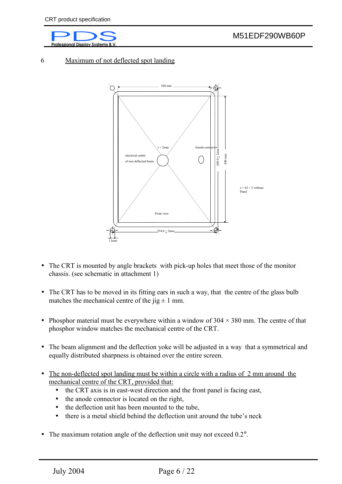

#### 6 Maximum of not deflected spot landing



- The CRT is mounted by angle brackets with pick-up holes that meet those of the monitor chassis. (see schematic in attachment 1)
- The CRT has to be moved in its fitting ears in such a way, that the centre of the glass bulb matches the mechanical centre of the  $\mu$  ig  $\pm$  1 mm.
- Phosphor material must be everywhere within a window of  $304 \times 380$  mm. The centre of that phosphor window matches the mechanical centre of the CRT.
- The beam alignment and the deflection yoke will be adjusted in a way that a symmetrical and equally distributed sharpness is obtained over the entire screen.
- The non-deflected spot landing must be within a circle with a radius of 2 mm around the mechanical centre of the CRT, provided that:
	- the CRT axis is in east-west direction and the front panel is facing east,
	- the anode connector is located on the right,
	- the deflection unit has been mounted to the tube,
	- there is a metal shield behind the deflection unit around the tube's neck
- The maximum rotation angle of the deflection unit may not exceed 0.2°.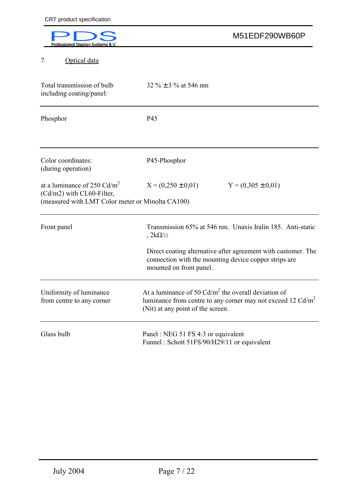| rofessional Display Systems B.                                                                                 | M51EDF290WB60P                                                                                                                                               |
|----------------------------------------------------------------------------------------------------------------|--------------------------------------------------------------------------------------------------------------------------------------------------------------|
| Optical data<br>7                                                                                              |                                                                                                                                                              |
| Total transmission of bulb<br>including coating/panel:                                                         | $32\% \pm 3\%$ at 546 nm                                                                                                                                     |
| Phosphor                                                                                                       | P45                                                                                                                                                          |
| Color coordinates:<br>(during operation)                                                                       | P45-Phosphor                                                                                                                                                 |
| at a luminance of 250 $Cd/m2$<br>(Cd/m2) with CL60-Filter,<br>(measured with LMT Color meter or Minolta CA100) | $X = (0,250 \pm 0,01)$<br>$Y = (0,305 \pm 0,01)$                                                                                                             |
| Front panel                                                                                                    | Transmission 65% at 546 nm. Unaxis Iralin 185. Anti-static<br>$, 2k\Omega/\Box$                                                                              |
|                                                                                                                | Direct coating alternative after agreement with customer. The<br>connection with the mounting device copper strips are<br>mounted on front panel.            |
| Uniformity of luminance<br>from centre to any corner                                                           | At a luminance of 50 $Cd/m^2$ the overall deviation of<br>luminance from centre to any corner may not exceed 12 $Cd/m2$<br>(Nit) at any point of the screen. |
| Glass bulb                                                                                                     | Panel: NEG 51 FS 4:3 or equivalent<br>Funnel: Schott 51FS/90/H29/11 or equivalent                                                                            |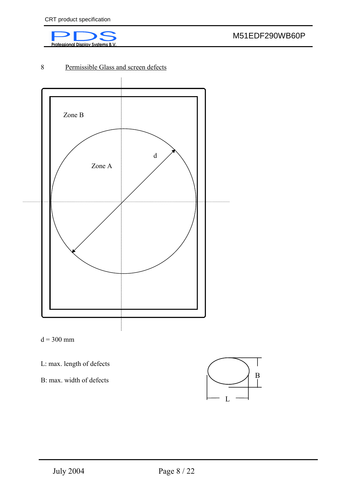

# 8 Permissible Glass and screen defects



 $d = 300$  mm

L: max. length of defects

B: max. width of defects

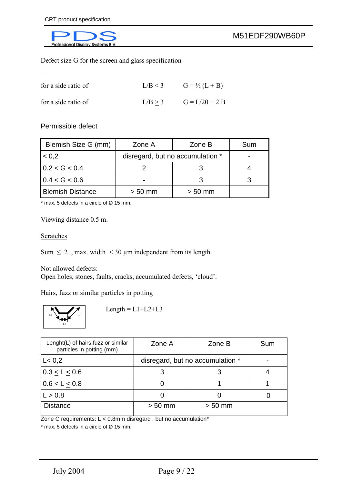

Defect size G for the screen and glass specification

| for a side ratio of | $L/B < 3$ $G = \frac{1}{2}(L + B)$ |
|---------------------|------------------------------------|
| for a side ratio of | $L/B > 3$ $G = L/20 + 2 B$         |

Permissible defect

| Blemish Size G (mm)     | Zone A                           | Zone B    | Sum |
|-------------------------|----------------------------------|-----------|-----|
| 0.2                     | disregard, but no accumulation * |           |     |
| 0.2 < G < 0.4           |                                  |           |     |
| 0.4 < G < 0.6           |                                  |           |     |
| <b>Blemish Distance</b> | $> 50$ mm                        | $> 50$ mm |     |

 $*$  max. 5 defects in a circle of  $\varnothing$  15 mm.

Viewing distance 0.5 m.

#### Scratches

Sum  $\leq 2$ , max. width  $\leq 30$  µm independent from its length.

Not allowed defects:

Open holes, stones, faults, cracks, accumulated defects, 'cloud'.

Hairs, fuzz or similar particles in potting



 $Length = L1+L2+L3$ 

| Lenght(L) of hairs, fuzz or similar<br>particles in potting (mm) | Zone A                           | Zone B    | Sum |
|------------------------------------------------------------------|----------------------------------|-----------|-----|
| L < 0.2                                                          | disregard, but no accumulation * |           |     |
| $0.3 \le L \le 0.6$                                              |                                  |           |     |
| 0.6 < L < 0.8                                                    |                                  |           |     |
| L > 0.8                                                          |                                  |           |     |
| <b>Distance</b>                                                  | $> 50$ mm                        | $> 50$ mm |     |

Zone C requirements: L < 0.8mm disregard , but no accumulation\*

 $*$  max. 5 defects in a circle of  $\varnothing$  15 mm.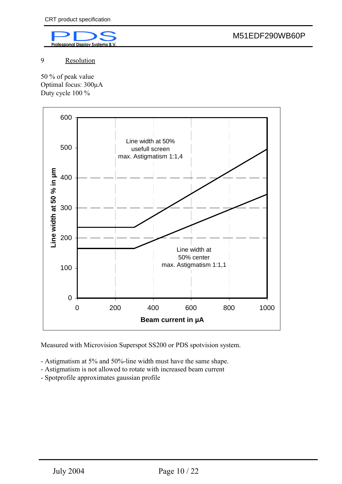

9 Resolution

50 % of peak value Optimal focus: 300µA Duty cycle 100 %



Measured with Microvision Superspot SS200 or PDS spotvision system.

- Astigmatism at 5% and 50%-line width must have the same shape.
- Astigmatism is not allowed to rotate with increased beam current
- Spotprofile approximates gaussian profile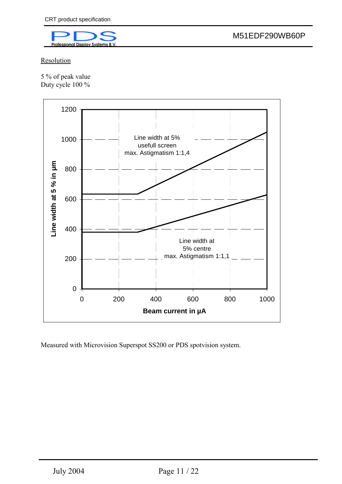

Resolution

5 % of peak value Duty cycle 100 %



Measured with Microvision Superspot SS200 or PDS spotvision system.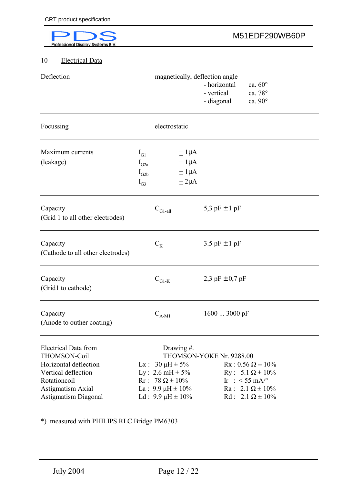| <b>Professional Display Systems B.V</b>                                                                                          |                                                                                                           |                                                     |                                                                            | M51EDF290WB60P                                                                                                      |
|----------------------------------------------------------------------------------------------------------------------------------|-----------------------------------------------------------------------------------------------------------|-----------------------------------------------------|----------------------------------------------------------------------------|---------------------------------------------------------------------------------------------------------------------|
| 10<br><b>Electrical Data</b>                                                                                                     |                                                                                                           |                                                     |                                                                            |                                                                                                                     |
| Deflection                                                                                                                       |                                                                                                           |                                                     | magnetically, deflection angle<br>- horizontal<br>- vertical<br>- diagonal | ca. $60^\circ$<br>ca. 78°<br>ca. 90°                                                                                |
| Focussing                                                                                                                        |                                                                                                           | electrostatic                                       |                                                                            |                                                                                                                     |
| Maximum currents<br>(leakage)                                                                                                    | $I_{G1}$<br>$I_{G2a}$<br>$I_{G2b}$<br>$I_{G3}$                                                            | $\pm$ 1µA<br>$\pm$ 1µA<br>$\pm$ 1µA<br>$\pm 2\mu A$ |                                                                            |                                                                                                                     |
| Capacity<br>(Grid 1 to all other electrodes)                                                                                     | $C_{\text{Gl-all}}$                                                                                       |                                                     | 5,3 pF $\pm$ 1 pF                                                          |                                                                                                                     |
| Capacity<br>(Cathode to all other electrodes)                                                                                    | $C_{K}$                                                                                                   |                                                     | 3.5 pF $\pm$ 1 pF                                                          |                                                                                                                     |
| Capacity<br>(Grid1 to cathode)                                                                                                   | $\mathbf{C}_{\text{G1-K}}$                                                                                |                                                     | 2,3 pF $\pm$ 0,7 pF                                                        |                                                                                                                     |
| Capacity<br>(Anode to outher coating)                                                                                            | $C_{A-M1}$                                                                                                |                                                     | 1600  3000 pF                                                              |                                                                                                                     |
| <b>Electrical Data from</b><br>THOMSON-Coil<br>Horizontal deflection<br>Vertical deflection<br>Rotationcoil<br>Astigmatism Axial | Lx : $30 \mu H \pm 5\%$<br>Ly : 2.6 mH $\pm$ 5%<br>Rr : 78 $\Omega \pm 10\%$<br>La : $9.9 \mu H \pm 10\%$ | Drawing #.                                          | THOMSON-YOKE Nr. 9288.00                                                   | Rx : $0.56 \Omega \pm 10\%$<br>Ry : 5.1 $\Omega \pm 10\%$<br>Ir: $<$ 55 mA/ $\degree$<br>Ra : $2.1 \Omega \pm 10\%$ |

\*) measured with PHILIPS RLC Bridge PM6303

Astigmatism Diagonal Ld :  $9.9 \mu H \pm 10\%$  Rd :  $2.1 \Omega \pm 10\%$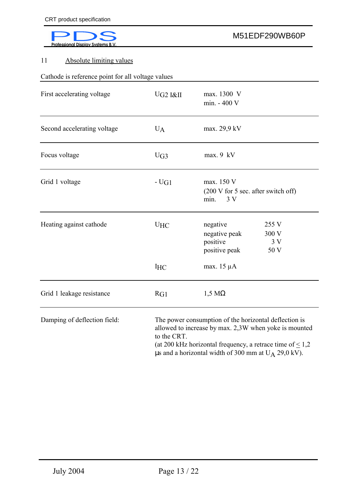# 11 Absolute limiting values

Cathode is reference point for all voltage values

| First accelerating voltage   | $U$ G2 I&II | max. 1300 V<br>min. - 400 V                                                                                                                                                        |
|------------------------------|-------------|------------------------------------------------------------------------------------------------------------------------------------------------------------------------------------|
| Second accelerating voltage  | $U_A$       | max. 29,9 kV                                                                                                                                                                       |
| Focus voltage                | UG3         | $max. 9$ kV                                                                                                                                                                        |
| Grid 1 voltage               | $-UG1$      | max. 150 V<br>(200 V for 5 sec. after switch off)<br>min.<br>3V                                                                                                                    |
| Heating against cathode      | $U$ HC      | 255 V<br>negative<br>300 V<br>negative peak<br>positive<br>3V<br>50 V<br>positive peak                                                                                             |
|                              | <b>IHC</b>  | max. $15 \mu A$                                                                                                                                                                    |
| Grid 1 leakage resistance    | RG1         | $1,5 \text{ M}\Omega$                                                                                                                                                              |
| Damping of deflection field: | to the CRT. | The power consumption of the horizontal deflection is<br>allowed to increase by max. 2,3W when yoke is mounted<br>(at 200 kHz horizontal frequency, a retrace time of $\leq 1,2$ ) |

 $\mu$ s and a horizontal width of 300 mm at U<sub>A</sub> 29,0 kV).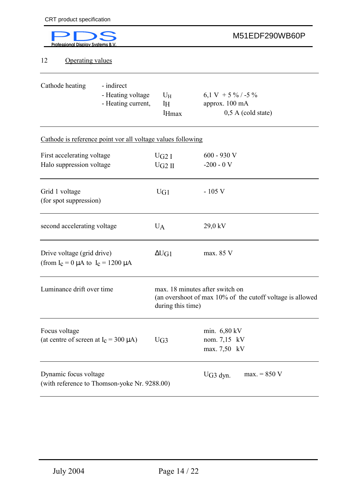| <b>Professional Display Systems B.V</b>                                   |                                                       |                                          | M51EDF290WB60P                                                                               |
|---------------------------------------------------------------------------|-------------------------------------------------------|------------------------------------------|----------------------------------------------------------------------------------------------|
| <b>Operating values</b><br>12                                             |                                                       |                                          |                                                                                              |
| Cathode heating                                                           | - indirect<br>- Heating voltage<br>- Heating current, | $U_H$<br>I <sub>H</sub><br><b>I</b> Hmax | 6,1 V + 5 % / -5 %<br>approx. 100 mA<br>$0,5$ A (cold state)                                 |
| Cathode is reference point vor all voltage values following               |                                                       |                                          |                                                                                              |
| First accelerating voltage<br>Halo suppression voltage                    |                                                       | UG2I<br>$UG2$ II                         | $600 - 930$ V<br>$-200 - 0V$                                                                 |
| Grid 1 voltage<br>(for spot suppression)                                  |                                                       | UG1                                      | $-105$ V                                                                                     |
| second accelerating voltage                                               |                                                       | $U_A$                                    | 29,0 kV                                                                                      |
| Drive voltage (grid drive)<br>(from $I_c = 0 \mu A$ to $I_c = 1200 \mu A$ |                                                       | $\Delta U$ G1                            | max. 85 V                                                                                    |
| Luminance drift over time                                                 |                                                       | during this time)                        | max. 18 minutes after switch on<br>(an overshoot of max 10% of the cutoff voltage is allowed |
| Focus voltage<br>(at centre of screen at $I_c = 300 \mu A$ )              |                                                       | UG3                                      | min. 6,80 kV<br>nom. 7,15 kV<br>max. 7,50 kV                                                 |
| Dynamic focus voltage<br>(with reference to Thomson-yoke Nr. 9288.00)     |                                                       |                                          | $max. = 850 V$<br>$UG3$ dyn.                                                                 |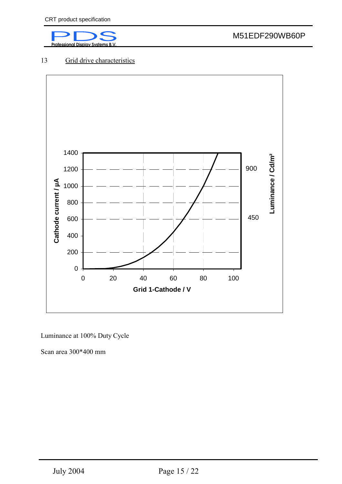

# 13 Grid drive characteristics



Luminance at 100% Duty Cycle

Scan area 300\*400 mm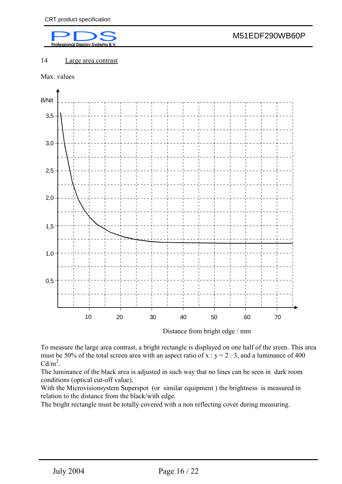

#### 14 Large area contrast

Max. values



Distance from bright edge / mm

To measure the large area contrast, a bright rectangle is displayed on one half of the sreen. This area must be 50% of the total screen area with an aspect ratio of  $x : y = 2 : 3$ , and a luminance of 400  $Cd/m<sup>2</sup>$ .

The luminance of the black area is adjusted in such way that no lines can be seen in dark room conditions (optical cut-off value).

With the Microvisionsystem Superspot (or similar equipment ) the brightness is measured in relation to the distance from the black/with edge.

The bright rectangle must be totally covered with a non reflecting cover during measuring.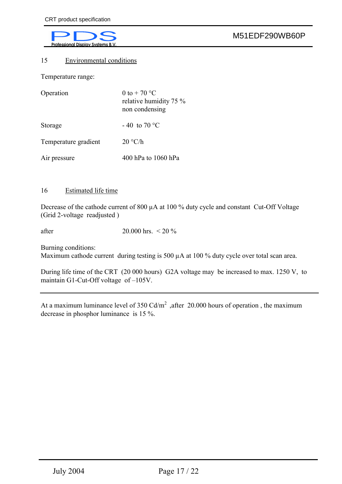#### 15 Environmental conditions

Temperature range:

| Operation            | 0 to + 70 $^{\circ}$ C<br>relative humidity 75 %<br>non condensing |
|----------------------|--------------------------------------------------------------------|
| Storage              | $-40$ to 70 °C                                                     |
| Temperature gradient | 20 °C/h                                                            |
| Air pressure         | 400 hPa to 1060 hPa                                                |

#### 16 Estimated life time

Decrease of the cathode current of 800 µA at 100 % duty cycle and constant Cut-Off Voltage (Grid 2-voltage readjusted )

after 20.000 hrs. < 20 %

Burning conditions:

Maximum cathode current during testing is 500  $\mu$ A at 100 % duty cycle over total scan area.

During life time of the CRT (20 000 hours) G2A voltage may be increased to max. 1250 V, to maintain G1-Cut-Off voltage of –105V.

At a maximum luminance level of 350 Cd/m<sup>2</sup> ,after 20.000 hours of operation, the maximum decrease in phosphor luminance is 15 %.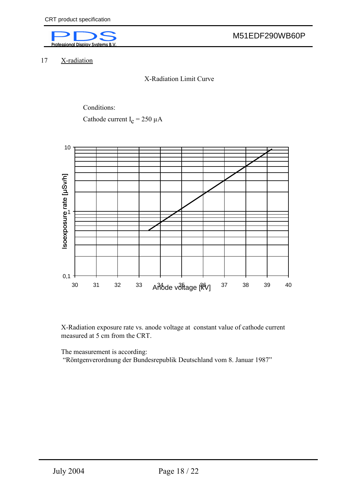

17 X-radiation

X-Radiation Limit Curve

Conditions:

Cathode current  $I_c = 250 \mu A$ 



X-Radiation exposure rate vs. anode voltage at constant value of cathode current measured at 5 cm from the CRT.

The measurement is according:

"Röntgenverordnung der Bundesrepublik Deutschland vom 8. Januar 1987"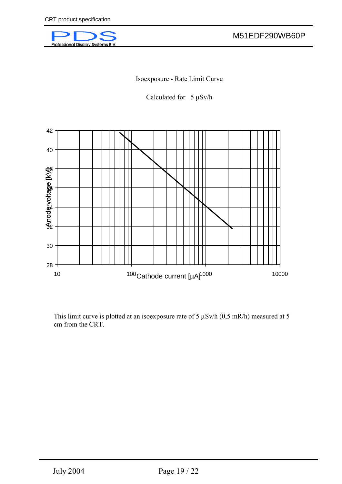

Isoexposure - Rate Limit Curve

Calculated for  $5 \mu Sv/h$ 



This limit curve is plotted at an isoexposure rate of 5 µSv/h (0,5 mR/h) measured at 5 cm from the CRT.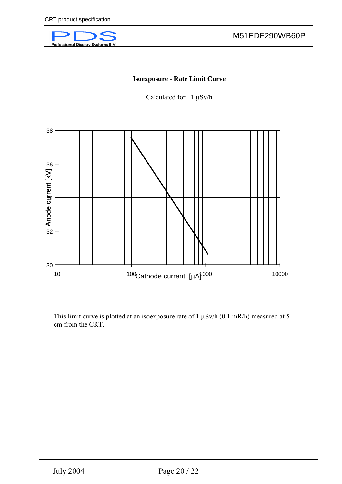

#### **Isoexposure - Rate Limit Curve**

Calculated for  $1 \mu Sv/h$ 



This limit curve is plotted at an isoexposure rate of 1  $\mu$ Sv/h (0,1 mR/h) measured at 5 cm from the CRT.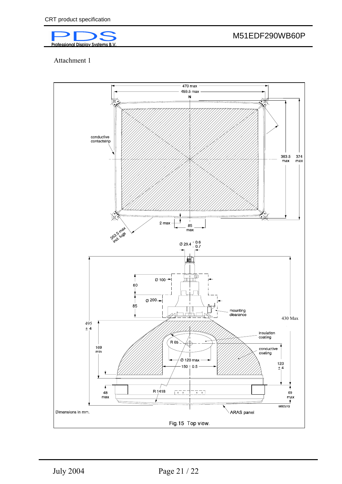

M51EDF290WB60P

Attachment 1